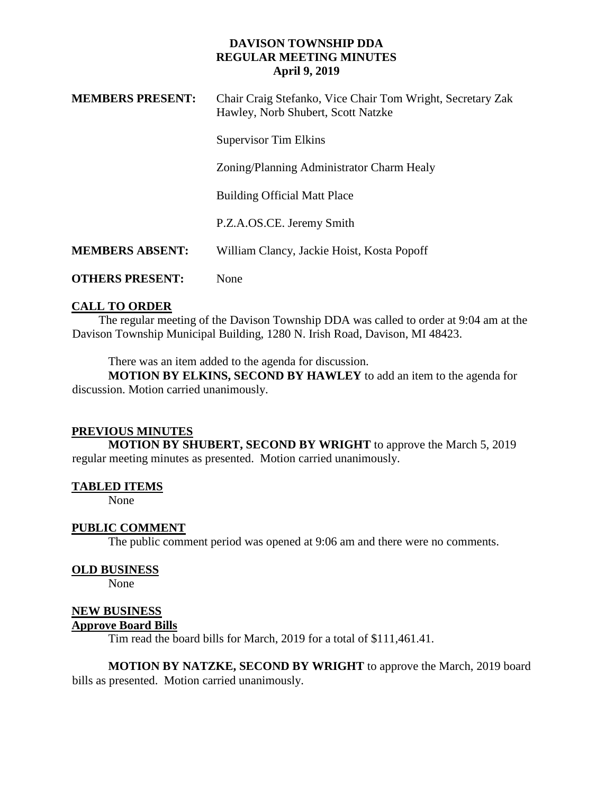## **DAVISON TOWNSHIP DDA REGULAR MEETING MINUTES April 9, 2019**

| <b>MEMBERS PRESENT:</b> | Chair Craig Stefanko, Vice Chair Tom Wright, Secretary Zak<br>Hawley, Norb Shubert, Scott Natzke |
|-------------------------|--------------------------------------------------------------------------------------------------|
|                         | <b>Supervisor Tim Elkins</b>                                                                     |
|                         | Zoning/Planning Administrator Charm Healy                                                        |
|                         | <b>Building Official Matt Place</b>                                                              |
|                         | P.Z.A.OS.CE. Jeremy Smith                                                                        |
| <b>MEMBERS ABSENT:</b>  | William Clancy, Jackie Hoist, Kosta Popoff                                                       |
| <b>OTHERS PRESENT:</b>  | None                                                                                             |

# **CALL TO ORDER**

 The regular meeting of the Davison Township DDA was called to order at 9:04 am at the Davison Township Municipal Building, 1280 N. Irish Road, Davison, MI 48423.

There was an item added to the agenda for discussion.

**MOTION BY ELKINS, SECOND BY HAWLEY** to add an item to the agenda for discussion. Motion carried unanimously.

## **PREVIOUS MINUTES**

**MOTION BY SHUBERT, SECOND BY WRIGHT** to approve the March 5, 2019 regular meeting minutes as presented. Motion carried unanimously.

## **TABLED ITEMS**

None

## **PUBLIC COMMENT**

The public comment period was opened at 9:06 am and there were no comments.

#### **OLD BUSINESS**

None

## **NEW BUSINESS**

### **Approve Board Bills**

Tim read the board bills for March, 2019 for a total of \$111,461.41.

**MOTION BY NATZKE, SECOND BY WRIGHT** to approve the March, 2019 board bills as presented. Motion carried unanimously.